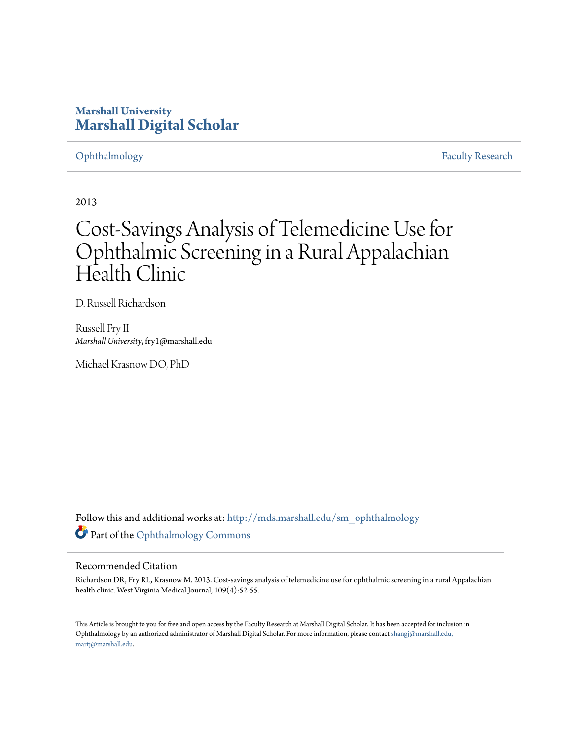### **Marshall University [Marshall Digital Scholar](http://mds.marshall.edu?utm_source=mds.marshall.edu%2Fsm_ophthalmology%2F1&utm_medium=PDF&utm_campaign=PDFCoverPages)**

[Ophthalmology](http://mds.marshall.edu/sm_ophthalmology?utm_source=mds.marshall.edu%2Fsm_ophthalmology%2F1&utm_medium=PDF&utm_campaign=PDFCoverPages) [Faculty Research](http://mds.marshall.edu/sm_faculty?utm_source=mds.marshall.edu%2Fsm_ophthalmology%2F1&utm_medium=PDF&utm_campaign=PDFCoverPages)

2013

# Cost-Savings Analysis of Telemedicine Use for Ophthalmic Screening in a Rural Appalachian Health Clinic

D. Russell Richardson

Russell Fry II *Marshall University*, fry1@marshall.edu

Michael Krasnow DO, PhD

Follow this and additional works at: [http://mds.marshall.edu/sm\\_ophthalmology](http://mds.marshall.edu/sm_ophthalmology?utm_source=mds.marshall.edu%2Fsm_ophthalmology%2F1&utm_medium=PDF&utm_campaign=PDFCoverPages) Part of the [Ophthalmology Commons](http://network.bepress.com/hgg/discipline/695?utm_source=mds.marshall.edu%2Fsm_ophthalmology%2F1&utm_medium=PDF&utm_campaign=PDFCoverPages)

#### Recommended Citation

Richardson DR, Fry RL, Krasnow M. 2013. Cost-savings analysis of telemedicine use for ophthalmic screening in a rural Appalachian health clinic. West Virginia Medical Journal, 109(4):52-55.

This Article is brought to you for free and open access by the Faculty Research at Marshall Digital Scholar. It has been accepted for inclusion in Ophthalmology by an authorized administrator of Marshall Digital Scholar. For more information, please contact [zhangj@marshall.edu,](mailto:zhangj@marshall.edu,%20martj@marshall.edu) [martj@marshall.edu](mailto:zhangj@marshall.edu,%20martj@marshall.edu).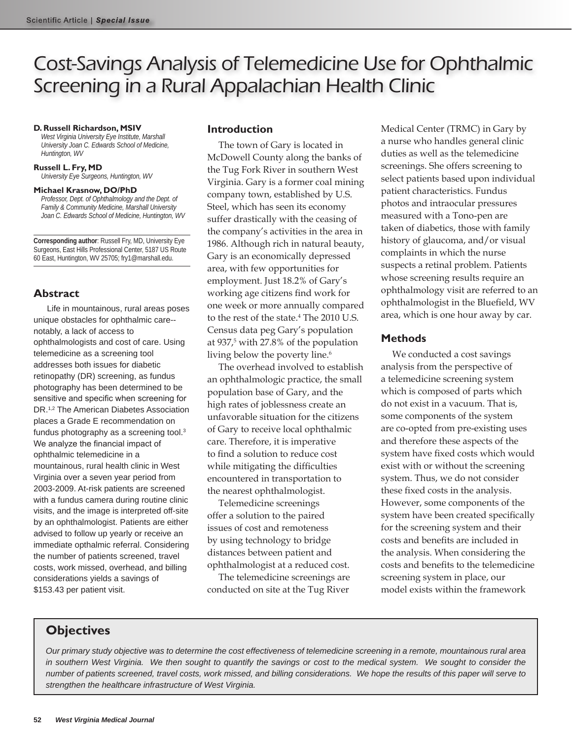## Cost-Savings Analysis of Telemedicine Use for Ophthalmic Screening in a Rural Appalachian Health Clinic

#### **D. Russell Richardson, MSIV**

*West Virginia University Eye Institute, Marshall University Joan C. Edwards School of Medicine, Huntington, WV*

#### **Russell L. Fry, MD**

*University Eye Surgeons, Huntington, WV*

#### **Michael Krasnow, DO/PhD**

*Professor, Dept. of Ophthalmology and the Dept. of Family & Community Medicine, Marshall University Joan C. Edwards School of Medicine, Huntington, WV*

**Corresponding author**: Russell Fry, MD, University Eye Surgeons, East Hills Professional Center, 5187 US Route 60 East, Huntington, WV 25705; fry1@marshall.edu.

### **Abstract**

Life in mountainous, rural areas poses unique obstacles for ophthalmic care- notably, a lack of access to ophthalmologists and cost of care. Using telemedicine as a screening tool addresses both issues for diabetic retinopathy (DR) screening, as fundus photography has been determined to be sensitive and specific when screening for DR.1,2 The American Diabetes Association places a Grade E recommendation on fundus photography as a screening tool.3 We analyze the financial impact of ophthalmic telemedicine in a mountainous, rural health clinic in West Virginia over a seven year period from 2003-2009. At-risk patients are screened with a fundus camera during routine clinic visits, and the image is interpreted off-site by an ophthalmologist. Patients are either advised to follow up yearly or receive an immediate opthalmic referral. Considering the number of patients screened, travel costs, work missed, overhead, and billing considerations yields a savings of \$153.43 per patient visit.

#### **Introduction**

The town of Gary is located in McDowell County along the banks of the Tug Fork River in southern West Virginia. Gary is a former coal mining company town, established by U.S. Steel, which has seen its economy suffer drastically with the ceasing of the company's activities in the area in 1986. Although rich in natural beauty, Gary is an economically depressed area, with few opportunities for employment. Just 18.2% of Gary's working age citizens find work for one week or more annually compared to the rest of the state.4 The 2010 U.S. Census data peg Gary's population at 937,<sup>5</sup> with 27.8% of the population living below the poverty line.<sup>6</sup>

The overhead involved to establish an ophthalmologic practice, the small population base of Gary, and the high rates of joblessness create an unfavorable situation for the citizens of Gary to receive local ophthalmic care. Therefore, it is imperative to find a solution to reduce cost while mitigating the difficulties encountered in transportation to the nearest ophthalmologist.

Telemedicine screenings offer a solution to the paired issues of cost and remoteness by using technology to bridge distances between patient and ophthalmologist at a reduced cost.

The telemedicine screenings are conducted on site at the Tug River Medical Center (TRMC) in Gary by a nurse who handles general clinic duties as well as the telemedicine screenings. She offers screening to select patients based upon individual patient characteristics. Fundus photos and intraocular pressures measured with a Tono-pen are taken of diabetics, those with family history of glaucoma, and/or visual complaints in which the nurse suspects a retinal problem. Patients whose screening results require an ophthalmology visit are referred to an ophthalmologist in the Bluefield, WV area, which is one hour away by car.

### **Methods**

We conducted a cost savings analysis from the perspective of a telemedicine screening system which is composed of parts which do not exist in a vacuum. That is, some components of the system are co-opted from pre-existing uses and therefore these aspects of the system have fixed costs which would exist with or without the screening system. Thus, we do not consider these fixed costs in the analysis. However, some components of the system have been created specifically for the screening system and their costs and benefits are included in the analysis. When considering the costs and benefits to the telemedicine screening system in place, our model exists within the framework

### **Objectives**

*Our primary study objective was to determine the cost effectiveness of telemedicine screening in a remote, mountainous rural area*  in southern West Virginia. We then sought to quantify the savings or cost to the medical system. We sought to consider the *number of patients screened, travel costs, work missed, and billing considerations. We hope the results of this paper will serve to strengthen the healthcare infrastructure of West Virginia.*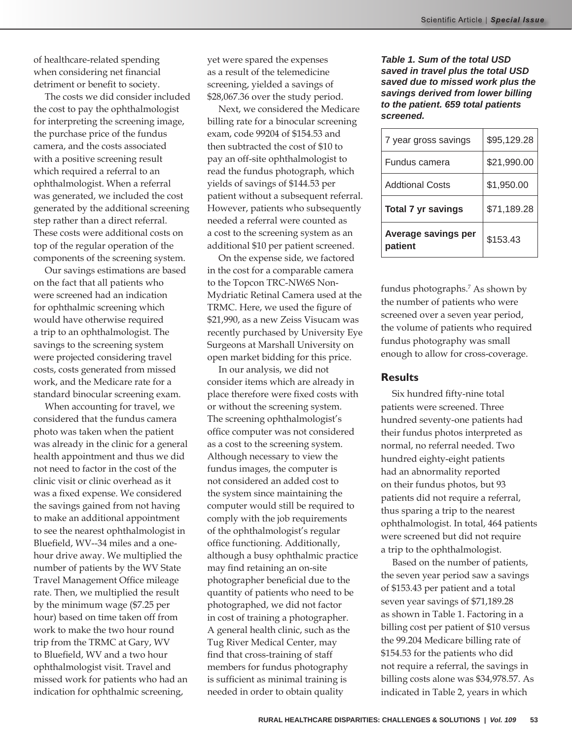of healthcare-related spending when considering net financial detriment or benefit to society.

The costs we did consider included the cost to pay the ophthalmologist for interpreting the screening image, the purchase price of the fundus camera, and the costs associated with a positive screening result which required a referral to an ophthalmologist. When a referral was generated, we included the cost generated by the additional screening step rather than a direct referral. These costs were additional costs on top of the regular operation of the components of the screening system.

Our savings estimations are based on the fact that all patients who were screened had an indication for ophthalmic screening which would have otherwise required a trip to an ophthalmologist. The savings to the screening system were projected considering travel costs, costs generated from missed work, and the Medicare rate for a standard binocular screening exam.

When accounting for travel, we considered that the fundus camera photo was taken when the patient was already in the clinic for a general health appointment and thus we did not need to factor in the cost of the clinic visit or clinic overhead as it was a fixed expense. We considered the savings gained from not having to make an additional appointment to see the nearest ophthalmologist in Bluefield, WV--34 miles and a onehour drive away. We multiplied the number of patients by the WV State Travel Management Office mileage rate. Then, we multiplied the result by the minimum wage (\$7.25 per hour) based on time taken off from work to make the two hour round trip from the TRMC at Gary, WV to Bluefield, WV and a two hour ophthalmologist visit. Travel and missed work for patients who had an indication for ophthalmic screening,

yet were spared the expenses as a result of the telemedicine screening, yielded a savings of \$28,067.36 over the study period.

Next, we considered the Medicare billing rate for a binocular screening exam, code 99204 of \$154.53 and then subtracted the cost of \$10 to pay an off-site ophthalmologist to read the fundus photograph, which yields of savings of \$144.53 per patient without a subsequent referral. However, patients who subsequently needed a referral were counted as a cost to the screening system as an additional \$10 per patient screened.

On the expense side, we factored in the cost for a comparable camera to the Topcon TRC-NW6S Non-Mydriatic Retinal Camera used at the TRMC. Here, we used the figure of \$21,990, as a new Zeiss Visucam was recently purchased by University Eye Surgeons at Marshall University on open market bidding for this price.

In our analysis, we did not consider items which are already in place therefore were fixed costs with or without the screening system. The screening ophthalmologist's office computer was not considered as a cost to the screening system. Although necessary to view the fundus images, the computer is not considered an added cost to the system since maintaining the computer would still be required to comply with the job requirements of the ophthalmologist's regular office functioning. Additionally, although a busy ophthalmic practice may find retaining an on-site photographer beneficial due to the quantity of patients who need to be photographed, we did not factor in cost of training a photographer. A general health clinic, such as the Tug River Medical Center, may find that cross-training of staff members for fundus photography is sufficient as minimal training is needed in order to obtain quality

*Table 1. Sum of the total USD saved in travel plus the total USD saved due to missed work plus the savings derived from lower billing to the patient. 659 total patients screened.*

| 7 year gross savings      | \$95,129.28 |
|---------------------------|-------------|
| Fundus camera             | \$21,990.00 |
| <b>Addtional Costs</b>    | \$1,950.00  |
| <b>Total 7 yr savings</b> | \$71,189.28 |
| Average savings per       |             |

fundus photographs.<sup>7</sup> As shown by the number of patients who were screened over a seven year period, the volume of patients who required fundus photography was small enough to allow for cross-coverage.

#### **Results**

Six hundred fifty-nine total patients were screened. Three hundred seventy-one patients had their fundus photos interpreted as normal, no referral needed. Two hundred eighty-eight patients had an abnormality reported on their fundus photos, but 93 patients did not require a referral, thus sparing a trip to the nearest ophthalmologist. In total, 464 patients were screened but did not require a trip to the ophthalmologist.

Based on the number of patients, the seven year period saw a savings of \$153.43 per patient and a total seven year savings of \$71,189.28 as shown in Table 1. Factoring in a billing cost per patient of \$10 versus the 99.204 Medicare billing rate of \$154.53 for the patients who did not require a referral, the savings in billing costs alone was \$34,978.57. As indicated in Table 2, years in which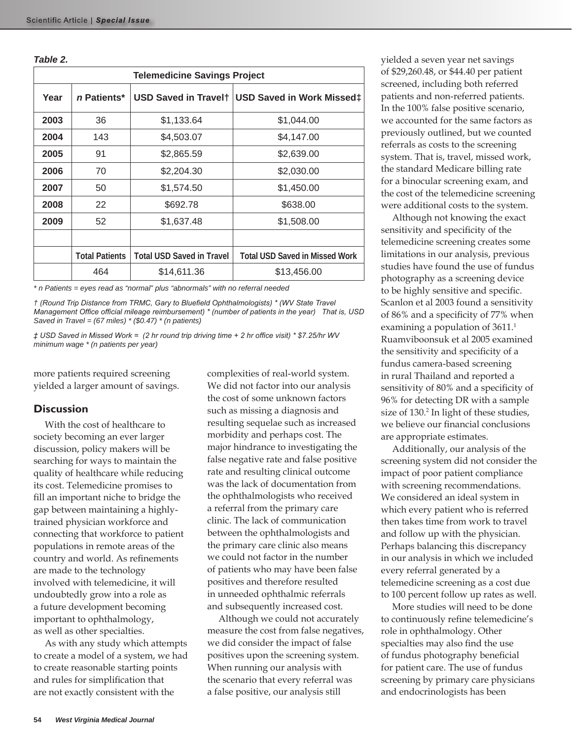| <b>Telemedicine Savings Project</b> |                       |                                  |                                       |  |
|-------------------------------------|-----------------------|----------------------------------|---------------------------------------|--|
| Year                                | n Patients*           | USD Saved in Travelt             | <b>USD Saved in Work Missed‡</b>      |  |
| 2003                                | 36                    | \$1,133.64                       | \$1,044.00                            |  |
| 2004                                | 143                   | \$4,503.07                       | \$4,147.00                            |  |
| 2005                                | 91                    | \$2,865.59                       | \$2,639.00                            |  |
| 2006                                | 70                    | \$2,204.30                       | \$2,030.00                            |  |
| 2007                                | 50                    | \$1,574.50                       | \$1,450.00                            |  |
| 2008                                | 22                    | \$692.78                         | \$638.00                              |  |
| 2009                                | 52                    | \$1,637.48                       | \$1,508.00                            |  |
|                                     |                       |                                  |                                       |  |
|                                     | <b>Total Patients</b> | <b>Total USD Saved in Travel</b> | <b>Total USD Saved in Missed Work</b> |  |
|                                     | 464                   | \$14,611.36                      | \$13,456.00                           |  |

*\* n Patients = eyes read as "normal" plus "abnormals" with no referral needed*

*† (Round Trip Distance from TRMC, Gary to Bluefield Ophthalmologists) \* (WV State Travel Management Office official mileage reimbursement) \* (number of patients in the year) That is, USD Saved in Travel = (67 miles) \* (\$0.47) \* (n patients)* 

*‡ USD Saved in Missed Work = (2 hr round trip driving time + 2 hr office visit) \* \$7.25/hr WV minimum wage \* (n patients per year)*

more patients required screening yielded a larger amount of savings.

### **Discussion**

With the cost of healthcare to society becoming an ever larger discussion, policy makers will be searching for ways to maintain the quality of healthcare while reducing its cost. Telemedicine promises to fill an important niche to bridge the gap between maintaining a highlytrained physician workforce and connecting that workforce to patient populations in remote areas of the country and world. As refinements are made to the technology involved with telemedicine, it will undoubtedly grow into a role as a future development becoming important to ophthalmology, as well as other specialties.

As with any study which attempts to create a model of a system, we had to create reasonable starting points and rules for simplification that are not exactly consistent with the

complexities of real-world system. We did not factor into our analysis the cost of some unknown factors such as missing a diagnosis and resulting sequelae such as increased morbidity and perhaps cost. The major hindrance to investigating the false negative rate and false positive rate and resulting clinical outcome was the lack of documentation from the ophthalmologists who received a referral from the primary care clinic. The lack of communication between the ophthalmologists and the primary care clinic also means we could not factor in the number of patients who may have been false positives and therefore resulted in unneeded ophthalmic referrals and subsequently increased cost.

Although we could not accurately measure the cost from false negatives, we did consider the impact of false positives upon the screening system. When running our analysis with the scenario that every referral was a false positive, our analysis still

yielded a seven year net savings of \$29,260.48, or \$44.40 per patient screened, including both referred patients and non-referred patients. In the 100% false positive scenario, we accounted for the same factors as previously outlined, but we counted referrals as costs to the screening system. That is, travel, missed work, the standard Medicare billing rate for a binocular screening exam, and the cost of the telemedicine screening were additional costs to the system.

Although not knowing the exact sensitivity and specificity of the telemedicine screening creates some limitations in our analysis, previous studies have found the use of fundus photography as a screening device to be highly sensitive and specific. Scanlon et al 2003 found a sensitivity of 86% and a specificity of 77% when examining a population of 3611.<sup>1</sup> Ruamviboonsuk et al 2005 examined the sensitivity and specificity of a fundus camera-based screening in rural Thailand and reported a sensitivity of 80% and a specificity of 96% for detecting DR with a sample size of 130.<sup>2</sup> In light of these studies, we believe our financial conclusions are appropriate estimates.

Additionally, our analysis of the screening system did not consider the impact of poor patient compliance with screening recommendations. We considered an ideal system in which every patient who is referred then takes time from work to travel and follow up with the physician. Perhaps balancing this discrepancy in our analysis in which we included every referral generated by a telemedicine screening as a cost due to 100 percent follow up rates as well.

More studies will need to be done to continuously refine telemedicine's role in ophthalmology. Other specialties may also find the use of fundus photography beneficial for patient care. The use of fundus screening by primary care physicians and endocrinologists has been